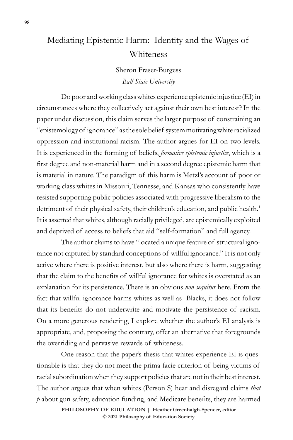## Mediating Epistemic Harm: Identity and the Wages of Whiteness

Sheron Fraser-Burgess *Ball State University*

Do poor and working class whites experience epistemic injustice (EI) in circumstances where they collectively act against their own best interest? In the paper under discussion, this claim serves the larger purpose of constraining an "epistemology of ignorance" as the sole belief system motivating white racialized oppression and institutional racism. The author argues for EI on two levels. It is experienced in the forming of beliefs, *formative epistemic injustice*, which is a first degree and non-material harm and in a second degree epistemic harm that is material in nature. The paradigm of this harm is Metzl's account of poor or working class whites in Missouri, Tennesse, and Kansas who consistently have resisted supporting public policies associated with progressive liberalism to the detriment of their physical safety, their children's education, and public health.<sup>1</sup> It is asserted that whites, although racially privileged, are epistemically exploited and deprived of access to beliefs that aid "self-formation" and full agency.

The author claims to have "located a unique feature of structural ignorance not captured by standard conceptions of willful ignorance." It is not only active where there is positive interest, but also where there is harm, suggesting that the claim to the benefits of willful ignorance for whites is overstated as an explanation for its persistence. There is an obvious *non sequitur* here. From the fact that willful ignorance harms whites as well as Blacks, it does not follow that its benefits do not underwrite and motivate the persistence of racism. On a more generous rendering, I explore whether the author's EI analysis is appropriate, and, proposing the contrary, offer an alternative that foregrounds the overriding and pervasive rewards of whiteness.

One reason that the paper's thesis that whites experience EI is questionable is that they do not meet the prima facie criterion of being victims of racial subordination when they support policies that are not in their best interest. The author argues that when whites (Person S) hear and disregard claims *that p* about gun safety, education funding, and Medicare benefits, they are harmed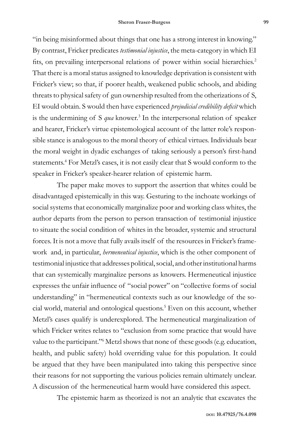"in being misinformed about things that one has a strong interest in knowing." By contrast, Fricker predicates *testimonial injustice*, the meta-category in which EI fits, on prevailing interpersonal relations of power within social hierarchies.<sup>2</sup> That there is a moral status assigned to knowledge deprivation is consistent with Fricker's view; so that, if poorer health, weakened public schools, and abiding threats to physical safety of gun ownership resulted from the otherizations of S, EI would obtain. S would then have experienced *prejudicial credibility deficit* which is the undermining of S *qua* knower.<sup>3</sup> In the interpersonal relation of speaker and hearer, Fricker's virtue epistemological account of the latter role's responsible stance is analogous to the moral theory of ethical virtues. Individuals bear the moral weight in dyadic exchanges of taking seriously a person's first-hand statements.<sup>4</sup> For Metzl's cases, it is not easily clear that S would conform to the speaker in Fricker's speaker-hearer relation of epistemic harm.

The paper make moves to support the assertion that whites could be disadvantaged epistemically in this way. Gesturing to the inchoate workings of social systems that economically marginalize poor and working class whites, the author departs from the person to person transaction of testimonial injustice to situate the social condition of whites in the broader, systemic and structural forces. It is not a move that fully avails itself of the resources in Fricker's framework and, in particular, *hermeneutical injustice*, which is the other component of testimonial injustice that addresses political, social, and other institutional harms that can systemically marginalize persons as knowers. Hermeneutical injustice expresses the unfair influence of "social power" on "collective forms of social understanding" in "hermeneutical contexts such as our knowledge of the social world, material and ontological questions.<sup>5</sup> Even on this account, whether Metzl's cases qualify is underexplored. The hermeneutical marginalization of which Fricker writes relates to "exclusion from some practice that would have value to the participant."<sup>6</sup> Metzl shows that none of these goods (e.g. education, health, and public safety) hold overriding value for this population. It could be argued that they have been manipulated into taking this perspective since their reasons for not supporting the various policies remain ultimately unclear. A discussion of the hermeneutical harm would have considered this aspect.

The epistemic harm as theorized is not an analytic that excavates the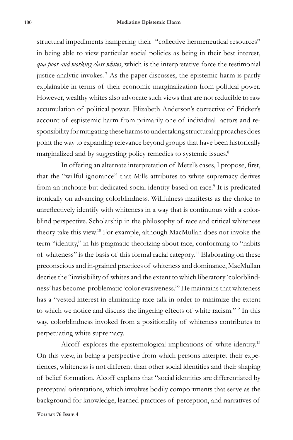structural impediments hampering their "collective hermeneutical resources" in being able to view particular social policies as being in their best interest, *qua poor and working class whites*, which is the interpretative force the testimonial justice analytic invokes. <sup>7</sup> As the paper discusses, the epistemic harm is partly explainable in terms of their economic marginalization from political power. However, wealthy whites also advocate such views that are not reducible to raw accumulation of political power. Elizabeth Anderson's corrective of Fricker's account of espistemic harm from primarily one of individual actors and responsibility for mitigating these harms to undertaking structural approaches does point the way to expanding relevance beyond groups that have been historically marginalized and by suggesting policy remedies to systemic issues.<sup>8</sup>

In offering an alternate interpretation of Metzl's cases, I propose, first, that the "willful ignorance" that Mills attributes to white supremacy derives from an inchoate but dedicated social identity based on race.<sup>9</sup> It is predicated ironically on advancing colorblindness. Willfulness manifests as the choice to unreflectively identify with whiteness in a way that is continuous with a colorblind perspective. Scholarship in the philosophy of race and critical whiteness theory take this view.10 For example, although MacMullan does not invoke the term "identity," in his pragmatic theorizing about race, conforming to "habits of whiteness" is the basis of this formal racial category.11 Elaborating on these preconscious and in-grained practices of whiteness and dominance, MacMullan decries the "invisibility of whites and the extent to which liberatory 'colorblindness' has become problematic 'color evasiveness.'" He maintains that whiteness has a "vested interest in eliminating race talk in order to minimize the extent to which we notice and discuss the lingering effects of white racism."12 In this way, colorblindness invoked from a positionality of whiteness contributes to perpetuating white supremacy.

Alcoff explores the epistemological implications of white identity.<sup>13</sup> On this view, in being a perspective from which persons interpret their experiences, whiteness is not different than other social identities and their shaping of belief formation. Alcoff explains that "social identities are differentiated by perceptual orientations, which involves bodily comportments that serve as the background for knowledge, learned practices of perception, and narratives of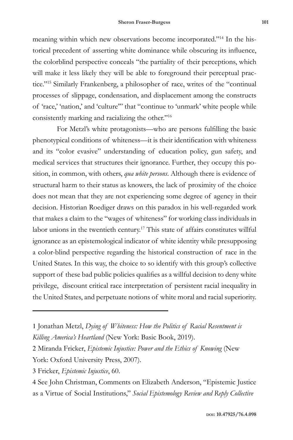meaning within which new observations become incorporated."14 In the historical precedent of asserting white dominance while obscuring its influence, the colorblind perspective conceals "the partiality of their perceptions, which will make it less likely they will be able to foreground their perceptual practice."15 Similarly Frankenberg, a philosopher of race, writes of the "continual processes of slippage, condensation, and displacement among the constructs of 'race,' 'nation,' and 'culture'" that "continue to 'unmark' white people while consistently marking and racializing the other."16

For Metzl's white protagonists—who are persons fulfilling the basic phenotypical conditions of whiteness—it is their identification with whiteness and its "color evasive" understanding of education policy, gun safety, and medical services that structures their ignorance. Further, they occupy this position, in common, with others, *qua white persons*. Although there is evidence of structural harm to their status as knowers, the lack of proximity of the choice does not mean that they are not experiencing some degree of agency in their decision. Historian Roediger draws on this paradox in his well-regarded work that makes a claim to the "wages of whiteness" for working class individuals in labor unions in the twentieth century.17 This state of affairs constitutes willful ignorance as an epistemological indicator of white identity while presupposing a color-blind perspective regarding the historical construction of race in the United States. In this way, the choice to so identify with this group's collective support of these bad public policies qualifies as a willful decision to deny white privilege, discount critical race interpretation of persistent racial inequality in the United States, and perpetuate notions of white moral and racial superiority.

3 Fricker, *Epistemic Injustice*, 60.

4 See John Christman, Comments on Elizabeth Anderson, "Epistemic Justice as a Virtue of Social Institutions," *Social Epistemology Review and Reply Collective*

<sup>1</sup> Jonathan Metzl, *Dying of Whiteness: How the Politics of Racial Resentment is Killing America's Heartland* (New York: Basic Book, 2019).

<sup>2</sup> Miranda Fricker, *Epistemic Injustice: Power and the Ethics of Knowing* (New York: Oxford University Press, 2007).